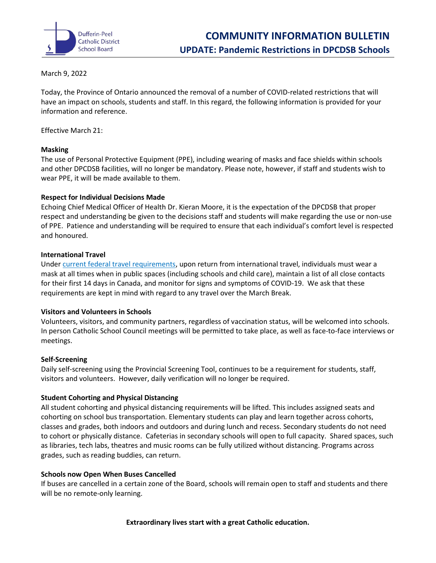

## March 9, 2022

Today, the Province of Ontario announced the removal of a number of COVID-related restrictions that will have an impact on schools, students and staff. In this regard, the following information is provided for your information and reference.

Effective March 21:

## **Masking**

The use of Personal Protective Equipment (PPE), including wearing of masks and face shields within schools and other DPCDSB facilities, will no longer be mandatory. Please note, however, if staff and students wish to wear PPE, it will be made available to them.

## **Respect for Individual Decisions Made**

Echoing Chief Medical Officer of Health Dr. Kieran Moore, it is the expectation of the DPCDSB that proper respect and understanding be given to the decisions staff and students will make regarding the use or non-use of PPE. Patience and understanding will be required to ensure that each individual's comfort level is respected and honoured.

## **International Travel**

Under [current federal travel requirements,](https://travel.gc.ca/travel-covid/travel-restrictions/exemptions) upon return from international travel, individuals must wear a mask at all times when in public spaces (including schools and child care), maintain a list of all close contacts for their first 14 days in Canada, and monitor for signs and symptoms of COVID-19. We ask that these requirements are kept in mind with regard to any travel over the March Break.

## **Visitors and Volunteers in Schools**

Volunteers, visitors, and community partners, regardless of vaccination status, will be welcomed into schools. In person Catholic School Council meetings will be permitted to take place, as well as face-to-face interviews or meetings.

#### **Self-Screening**

Daily self-screening using the Provincial Screening Tool, continues to be a requirement for students, staff, visitors and volunteers. However, daily verification will no longer be required.

#### **Student Cohorting and Physical Distancing**

All student cohorting and physical distancing requirements will be lifted. This includes assigned seats and cohorting on school bus transportation. Elementary students can play and learn together across cohorts, classes and grades, both indoors and outdoors and during lunch and recess. Secondary students do not need to cohort or physically distance. Cafeterias in secondary schools will open to full capacity. Shared spaces, such as libraries, tech labs, theatres and music rooms can be fully utilized without distancing. Programs across grades, such as reading buddies, can return.

#### **Schools now Open When Buses Cancelled**

If buses are cancelled in a certain zone of the Board, schools will remain open to staff and students and there will be no remote-only learning.